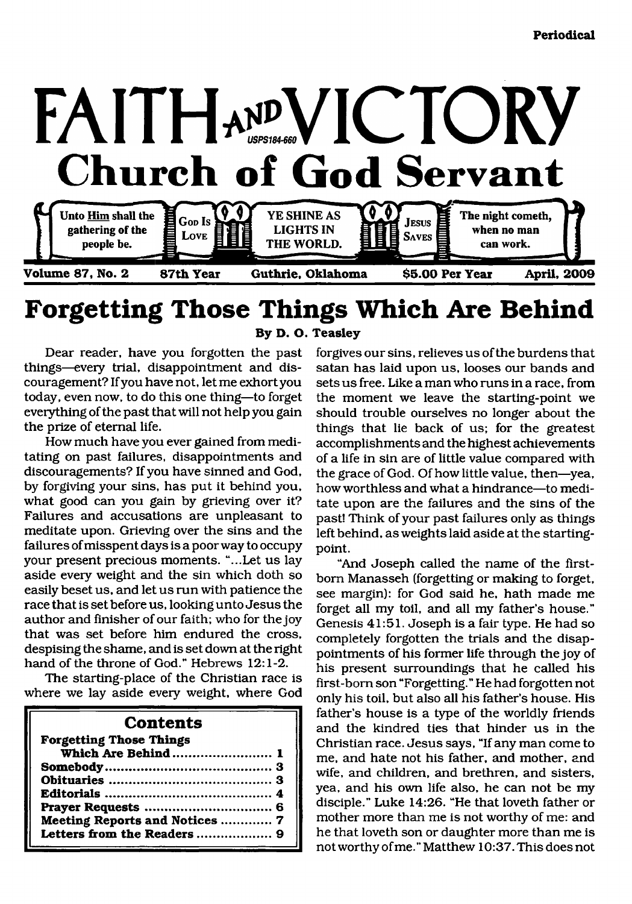

# **Forgetting Those Things Which Are Behind**

**By D. O. Teasley**

Dear reader, have you forgotten the past things—every trial, disappointment and discouragement? If you have not, let me exhort you today, even now, to do this one thing—to forget everything of the past that will not help you gain the prize of eternal life.

How much have you ever gained from meditating on past failures, disappointments and discouragements? If you have sinned and God, by forgiving your sins, has put it behind you, what good can you gain by grieving over it? Failures and accusations are unpleasant to meditate upon. Grieving over the sins and the failures of misspent days is a poor way to occupy your present precious moments. "...Let us lay aside every weight and the sin which doth so easily beset us, and let us run with patience the race that is set before us, looking unto Jesus the author and finisher of our faith; who for the joy that was set before him endured the cross, despising the shame, and is set down at the right hand of the throne of God." Hebrews 12:1-2.

The starting-place of the Christian race is where we lay aside every weight, where God

# **Contents**

| <b>Forgetting Those Things</b> |  |
|--------------------------------|--|
| Which Are Behind  1            |  |
|                                |  |
|                                |  |
|                                |  |
|                                |  |
| Meeting Reports and Notices  7 |  |
| Letters from the Readers  9    |  |
|                                |  |

forgives our sins, relieves us of the burdens that satan has laid upon us, looses our bands and sets us free. Like a man who runs in a race, from the moment we leave the starting-point we should trouble ourselves no longer about the things that lie back of us; for the greatest accomplishments and the highest achievements of a life in sin are of little value compared with the grace of God. Of how little value, then—yea, how worthless and what a hindrance—to meditate upon are the failures and the sins of the past! Think of your past failures only as things left behind, as weights laid aside at the startingpoint.

"And Joseph called the name of the firstborn Manasseh (forgetting or making to forget, see margin): for God said he, hath made me forget all my toil, and all my father's house." Genesis 41:51. Joseph is a fair type. He had so completely forgotten the trials and the disappointments of his former life through the joy of his present surroundings that he called his first-born son "Forgetting." He had forgotten not only his toil, but also all his father's house. His father's house is a type of the worldly friends and the kindred ties that hinder us in the Christian race. Jesus says, "If any man come to me, and hate not his father, and mother, and wife, and children, and brethren, and sisters, yea, and his own life also, he can not be my disciple." Luke 14:26. "He that loveth father or mother more than me is not worthy of me: and he that loveth son or daughter more than me is not worthy of me." Matthew 10:37. This does not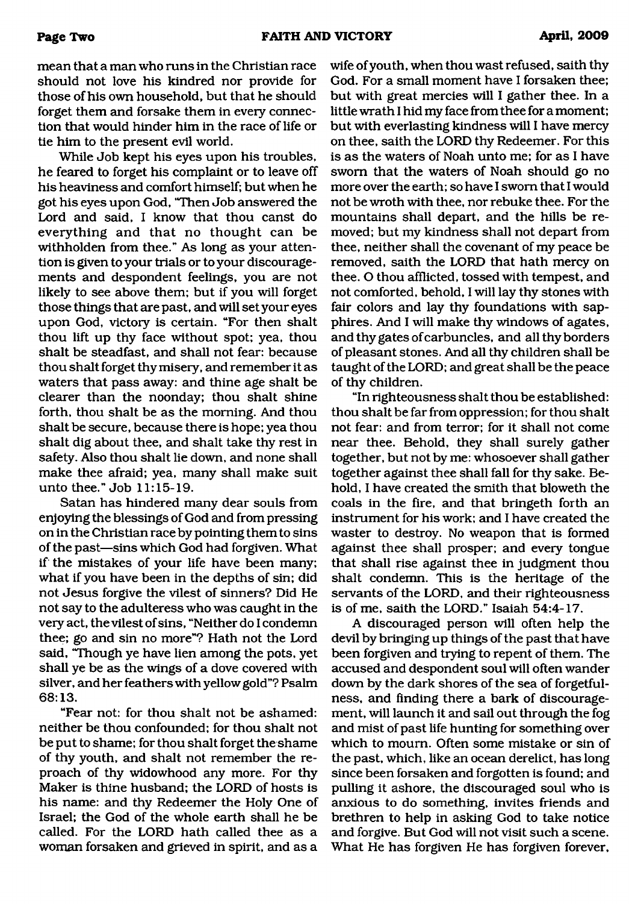mean that a man who runs in the Christian race should not love his kindred nor provide for those of his own household, but that he should forget them and forsake them in every connection that would hinder him in the race of life or tie him to the present evil world.

While Job kept his eyes upon his troubles, he feared to forget his complaint or to leave off his heaviness and comfort himself; but when he got his eyes upon God, "Then Job answered the Lord and said, I know that thou canst do everything and that no thought can be withholden from thee." As long as your attention is given to your trials or to your discouragements and despondent feelings, you are not likely to see above them; but if you will forget those things that are past, and will set your eyes upon God, victory is certain. "For then shalt thou lift up thy face without spot; yea, thou shalt be steadfast, and shall not fear: because thou shalt forget thy misery, and remember it as waters that pass away: and thine age shalt be clearer than the noonday; thou shalt shine forth, thou shalt be as the morning. And thou shalt be secure, because there is hope; yea thou shalt dig about thee, and shalt take thy rest in safety. Also thou shalt lie down, and none shall make thee afraid; yea, many shall make suit unto thee." Job 11:15-19.

Satan has hindered many dear souls from enjoying the blessings of God and from pressing on in the Christian race by pointing them to sins of the past—sins which God had forgiven. What if the mistakes of your life have been many; what if you have been in the depths of sin; did not Jesus forgive the vilest of sinners? Did He not say to the adulteress who was caught in the very act, the vilest of sins, "Neither do I condemn thee; go and sin no more"? Hath not the Lord said, "Though ye have lien among the pots, yet shall ye be as the wings of a dove covered with silver, and her feathers with yellow gold"? Psalm 68:13.

"Fear not: for thou shalt not be ashamed: neither be thou confounded; for thou shalt not be put to shame; for thou shalt forget the shame of thy youth, and shalt not remember the reproach of thy widowhood any more. For thy Maker is thine husband; the LORD of hosts is his name: and thy Redeemer the Holy One of Israel; the God of the whole earth shall he be called. For the LORD hath called thee as a woman forsaken and grieved in spirit, and as a wife of youth, when thou wast refused, saith thy God. For a small moment have I forsaken thee; but with great mercies will I gather thee. In a little wrath I hid my face from thee for a moment; but with everlasting kindness will I have mercy on thee, saith the LORD thy Redeemer. For this is as the waters of Noah unto me; for as I have sworn that the waters of Noah should go no more over the earth; so have I sworn that I would not be wroth with thee, nor rebuke thee. For the mountains shall depart, and the hills be removed; but my kindness shall not depart from thee, neither shall the covenant of my peace be removed, saith the LORD that hath mercy on thee. O thou afflicted, tossed with tempest, and not comforted, behold, I will lay thy stones with fair colors and lay thy foundations with sapphires. And I will make thy windows of agates, and thy gates of carbuncles, and all thy borders of pleasant stones. And all thy children shall be taught of the LORD; and great shall be the peace of thy children.

"In righteousness shalt thou be established: thou shalt be far from oppression; for thou shalt not fear: and from terror; for it shall not come near thee. Behold, they shall surely gather together, but not by me: whosoever shall gather together against thee shall fall for thy sake. Behold, I have created the smith that bloweth the coals in the fire, and that bringeth forth an instrument for his work; and I have created the waster to destroy. No weapon that is formed against thee shall prosper; and every tongue that shall rise against thee in judgment thou shalt condemn. This is the heritage of the servants of the LORD, and their righteousness is of me, saith the LORD." Isaiah 54:4-17.

A discouraged person will often help the devil by bringing up things of the past that have been forgiven and trying to repent of them. The accused and despondent soul will often wander down by the dark shores of the sea of forgetfulness, and finding there a bark of discouragement, will launch it and sail out through the fog and mist of past life hunting for something over which to mourn. Often some mistake or sin of the past, which, like an ocean derelict, has long since been forsaken and forgotten is found; and pulling it ashore, the discouraged soul who is anxious to do something, invites friends and brethren to help in asking God to take notice and forgive. But God will not visit such a scene. What He has forgiven He has forgiven forever,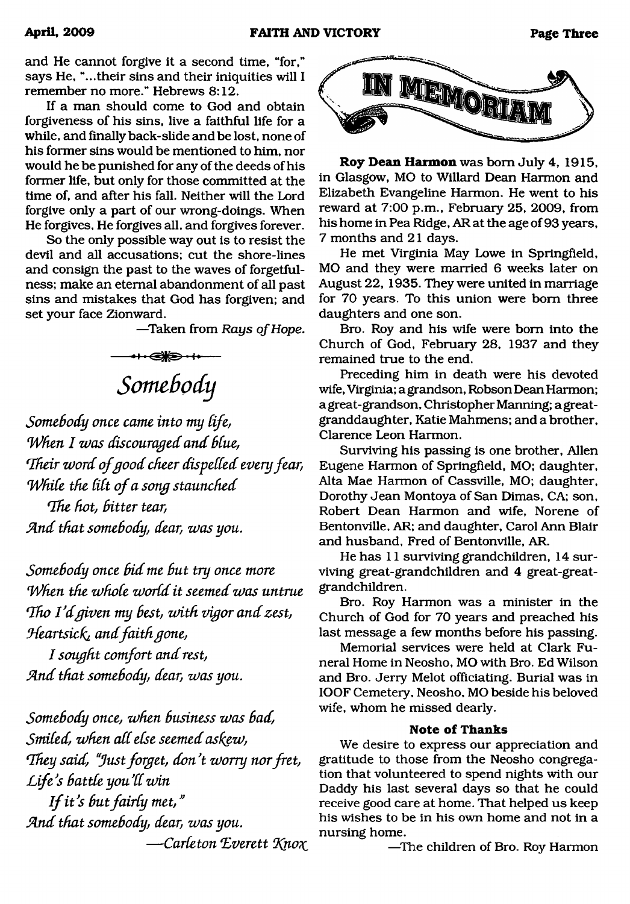and He cannot forgive it a second time, "for," says He, "...their sins and their iniquities will I remember no more." Hebrews 8:12.

If a man should come to God and obtain forgiveness of his sins, live a faithful life for a while, and finally back-slide and be lost, none of his former sins would be mentioned to him, nor would he be punished for any of the deeds of his former life, but only for those committed at the time of, and after his fall. Neither will the Lord forgive only a part of our wrong-doings. When He forgives, He forgives all, and forgives forever.

So the only possible way out is to resist the devil and all accusations; cut the shore-lines and consign the past to the waves of forgetfulness; make an eternal abandonment of all past sins and mistakes that God has forgiven; and set your face Zionward.

—Taken from *Rays of Hope.*

まの帯ま *Somebody*

*Somebody once came into my Cife, When I was discouraged and blue, 'Their w ord ofgood cheer dispelled every fear, While the lilt of a song staunched* 

*Qhe hot, bitter tear, fin d that somebody, dear, w as you.*

*Somebody once bid me but try once more When the whole world it seemed was untrue Tho I'd given my best, with vigor and zest, Heartsick*, and faith gone,

*I sought comfort and rest, fin d that somebody, dear, w as you.*

*Somebody once, when business w as bad, Smiled, when all else seemed askew, 'They said, "Just forget, don't worry nor fret,* Life's battle you'll win

*If it's but fairly met," A n d that somebody, dear, w as you.*  $-\text{Carleton Everett Know}$ 



**Roy Dean Harmon** was bom July 4, 1915, in Glasgow, MO to Willard Dean Harmon and Elizabeth Evangeline Harmon. He went to his reward at 7:00 p.m., February 25, 2009, from his home in Pea Ridge, AR at the age of 93 years, 7 months and 21 days.

He met Virginia May Lowe in Springfield, MO and they were married 6 weeks later on August 22, 1935. They were united in marriage for 70 years. To this union were bom three daughters and one son.

Bro. Roy and his wife were bom into the Church of God, February 28, 1937 and they remained true to the end.

Preceding him in death were his devoted wife, Virginia; a grandson, Robson Dean Harmon; a great-grandson, Christopher Manning; a greatgranddaughter, Katie Mahmens; and a brother, Clarence Leon Harmon.

Surviving his passing is one brother, Allen Eugene Harmon of Springfield, MO; daughter, Alta Mae Harmon of Cassville, MO; daughter, Dorothy Jean Montoya of San Dimas, CA; son, Robert Dean Harmon and wife, Norene of Bentonville, AR; and daughter, Carol Ann Blair and husband, Fred of Bentonville, AR.

He has 11 surviving grandchildren, 14 surviving great-grandchildren and 4 great-greatgrandchildren.

Bro. Roy Harmon was a minister in the Church of God for 70 years and preached his last message a few months before his passing.

Memorial services were held at Clark Funeral Home in Neosho, MO with Bro. Ed Wilson and Bro. Jerry Melot officiating. Burial was in IOOF Cemetery, Neosho, MO beside his beloved wife, whom he missed dearly.

# **Note of Thanks**

We desire to express our appreciation and gratitude to those from the Neosho congregation that volunteered to spend nights with our Daddy his last several days so that he could receive good care at home. That helped us keep his wishes to be in his own home and not in a nursing home.

—The children of Bro. Roy Harmon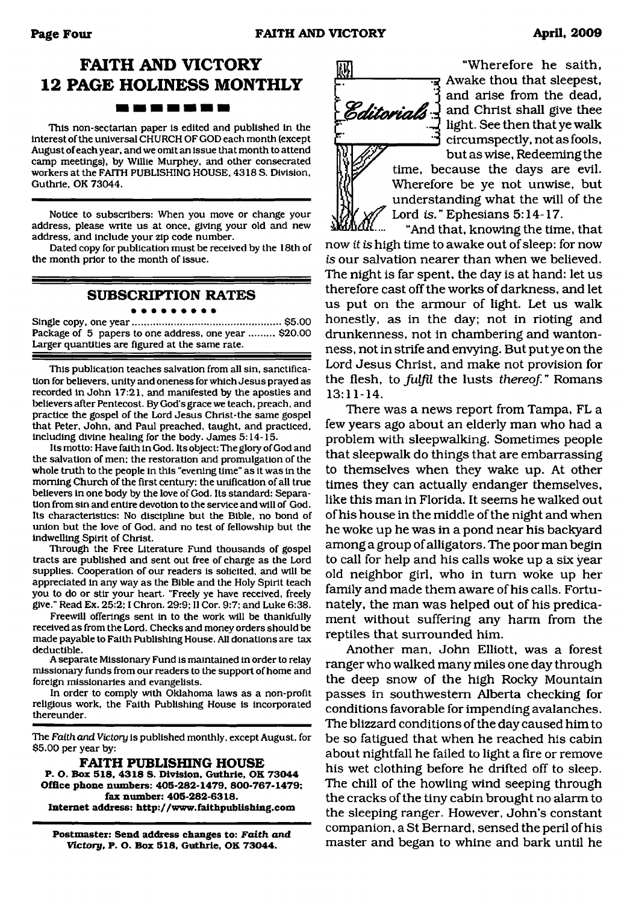# **FAITH AND VICTORY 12 PAGE HOLINESS MONTHLY** -----

This non-sectarian paper is edited and published in the interest of the universal CHURCH OF GOD each month (except August of each year, and we omit an issue that month to attend camp meetings), by Willie Murphey, and other consecrated workers at the FAITH PUBLISHING HOUSE. 4318 S. Division, Guthrie, OK 73044.

Notice to subscribers: When you move or change your address, please write us at once, giving your old and new address, and include your zip code number.

Dated copy for publication must be received by the 18th of the month prior to the month of issue.

# **SUBSCRIPTION RATES**

#### Single copy, one year......................................................\$5.00 Package of 5 papers to one address, one year ......... \$20.00 Larger quantities are figured at the same rate.

This publication teaches salvation from all sin, sanctification for believers, unity and oneness for which Jesus prayed as recorded in John 17:21, and manifested by the apostles and believers after Pentecost. By God's grace we teach, preach, and practice the gospel of the Lord Jesus Christ-the same gospel that Peter, John, and Paul preached, taught, and practiced, including divine healing for the body. James 5:14-15.

Its motto: Have faith in God. Its object: The glory of God and the salvation of men: the restoration and promulgation of the whole truth to the people in this "evening time" as it was in the morning Church of the first century: the unification of all true believers in one body by the love of God. Its standard: Separation from sin and entire devotion to the service and will of God. Its characteristics: No discipline but the Bible, no bond of union but the love of God, and no test of fellowship but the indwelling Spirit of Christ.

Through the Free Literature Fund thousands of gospel tracts are published and sent out free of charge as the Lord supplies. Cooperation of our readers is solicited, and will be appreciated in any way as the Bible and the Holy Spirit teach you to do or stir your heart. "Freely ye have received, freely give." Read Ex. 25:2:1 Chron. 29:9: II Cor. 9:7; and Luke 6:38.

Freewill offerings sent in to the work will be thankfully received as from the Lord. Checks and money orders should be made payable to Faith Publishing House. All donations are tax deductible.

A separate Missionary Fund is maintained in order to relay missionary funds from our readers to the support of home and foreign missionaries and evangelists.

In order to comply with Oklahoma laws as a non-profit religious work, the Faith Publishing House is incorporated thereunder.

The *Faith and Victory* is published monthly, except August, for \$5.00 per year by:

**FAITH PUBLISHING HOUSE P. O. Box 518, 4318 S. Division. Guthrie, OK 73044 Office phone numbers: 405-282\*1479, 800-767-1479; fax number: 405-282-6318. Internet address: <http://www.faithpublishing.com>**

**Postmaster: Send address changes to:** *Faith and Victory***. P- O. Box 518, Guthrie. OK 73044.**



"Wherefore he saith, R Awake thou that sleepest, and arise from the dead, **Editorials** and Christ shall give thee light. See then that ye walk circumspectly, not as fools, but as wise, Redeeming the

time, because the days are evil. Wherefore be ye not unwise, but understanding what the will of the Lord *is.* " Ephesians 5:14-17.

"And that, knowing the time, that now *it is* high time to awake out of sleep: for now *is* our salvation nearer than when we believed. The night is far spent, the day is at hand: let us therefore cast off the works of darkness, and let us put on the armour of light. Let us walk honestly, as in the day; not in rioting and drunkenness, not in chambering and wantonness, not in strife and envying. But put ye on the Lord Jesus Christ, and make not provision for the flesh, to *fulfil* the lusts *thereof. "* Romans 13:11-14.

There was a news report from Tampa, FL a few years ago about an elderly man who had a problem with sleepwalking. Sometimes people that sleepwalk do things that are embarrassing to themselves when they wake up. At other times they can actually endanger themselves, like this man in Florida. It seems he walked out of his house in the middle of the night and when he woke up he was in a pond near his backyard among a group of alligators. The poor man begin to call for help and his calls woke up a six year old neighbor girl, who in turn woke up her family and made them aware of his calls. Fortunately, the man was helped out of his predicament without suffering any harm from the reptiles that surrounded him.

Another man, John Elliott, was a forest ranger who walked many miles one day through the deep snow of the high Rocky Mountain passes in southwestern Alberta checking for conditions favorable for impending avalanches. The blizzard conditions of the day caused him to be so fatigued that when he reached his cabin about nightfall he failed to light a fire or remove his wet clothing before he drifted off to sleep. The chill of the howling wind seeping through the cracks of the tiny cabin brought no alarm to the sleeping ranger. However, John's constant companion, a St Bernard, sensed the peril of his master and began to whine and bark until he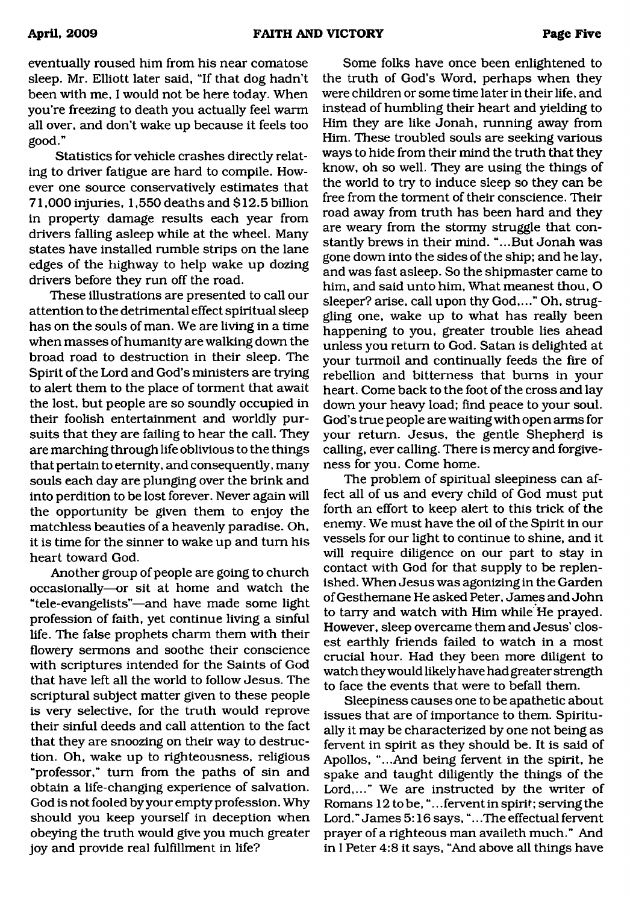eventually roused him from his near comatose sleep. Mr. Elliott later said, "If that dog hadn't been with me, I would not be here today. When you're freezing to death you actually feel warm all over, and don't wake up because it feels too good."

Statistics for vehicle crashes directly relating to driver fatigue are hard to compile. However one source conservatively estimates that 71,000 injuries, 1,550 deaths and \$12.5 billion in property damage results each year from drivers falling asleep while at the wheel. Many states have installed rumble strips on the lane edges of the highway to help wake up dozing drivers before they run off the road.

These illustrations are presented to call our attention to the detrimental effect spiritual sleep has on the souls of man. We are living in a time when masses of humanity are walking down the broad road to destruction in their sleep. The Spirit of the Lord and God's ministers are trying to alert them to the place of torment that await the lost, but people are so soundly occupied in their foolish entertainment and worldly pursuits that they are failing to hear the call. They are marching through life oblivious to the things that pertain to eternity, and consequently, many souls each day are plunging over the brink and into perdition to be lost forever. Never again will the opportunity be given them to enjoy the matchless beauties of a heavenly paradise. Oh, it is time for the sinner to wake up and turn his heart toward God.

Another group of people are going to church occasionally—or sit at home and watch the "tele-evangelists"—and have made some light profession of faith, yet continue living a sinful life. The false prophets charm them with their flowery sermons and soothe their conscience with scriptures intended for the Saints of God that have left all the world to follow Jesus. The scriptural subject matter given to these people is very selective, for the truth would reprove their sinful deeds and call attention to the fact that they are snoozing on their way to destruction. Oh, wake up to righteousness, religious "professor," turn from the paths of sin and obtain a life-changing experience of salvation. God is not fooled by your empty profession. Why should you keep yourself in deception when obeying the truth would give you much greater joy and provide real fulfillment in life?

Some folks have once been enlightened to the truth of God's Word, perhaps when they were children or some time later in their life, and instead of humbling their heart and yielding to Him they are like Jonah, running away from Him. These troubled souls are seeking various ways to hide from their mind the truth that they know, oh so well. They are using the things of the world to try to induce sleep so they can be free from the torment of their conscience. Their road away from truth has been hard and they are weary from the stormy struggle that constantly brews in their mind. "...But Jonah was gone down into the sides of the ship; and he lay, and was fast asleep. So the shipmaster came to him, and said unto him, What meanest thou, O sleeper? arise, call upon thy God,..." Oh, struggling one, wake up to what has really been happening to you, greater trouble lies ahead unless you return to God. Satan is delighted at your turmoil and continually feeds the fire of rebellion and bitterness that bums in your heart. Come back to the foot of the cross and lay down your heavy load; find peace to your soul. God's true people are waiting with open arms for your return. Jesus, the gentle Shepherd is calling, ever calling. There is mercy and forgiveness for you. Come home.

The problem of spiritual sleepiness can affect all of us and every child of God must put forth an effort to keep alert to this trick of the enemy. We must have the oil of the Spirit in our vessels for our light to continue to shine, and it will require diligence on our part to stay in contact with God for that supply to be replenished. When Jesus was agonizing in the Garden of Gesthemane He asked Peter, James and John to tarry and watch with Him while He prayed. However, sleep overcame them and Jesus' closest earthly friends failed to watch in a most crucial hour. Had they been more diligent to watch they would likely have had greater strength to face the events that were to befall them.

Sleepiness causes one to be apathetic about issues that are of importance to them. Spiritually it may be characterized by one not being as fervent in spirit as they should be. It is said of Apollos, "...And being fervent in the spirit, he spake and taught diligently the things of the Lord,..." We are instructed by the writer of Romans 12 to be, "...fervent in spirit; serving the Lord." James 5:16 says, ".. .The effectual fervent prayer of a righteous man availeth much." And in I Peter 4:8 it says, "And above all things have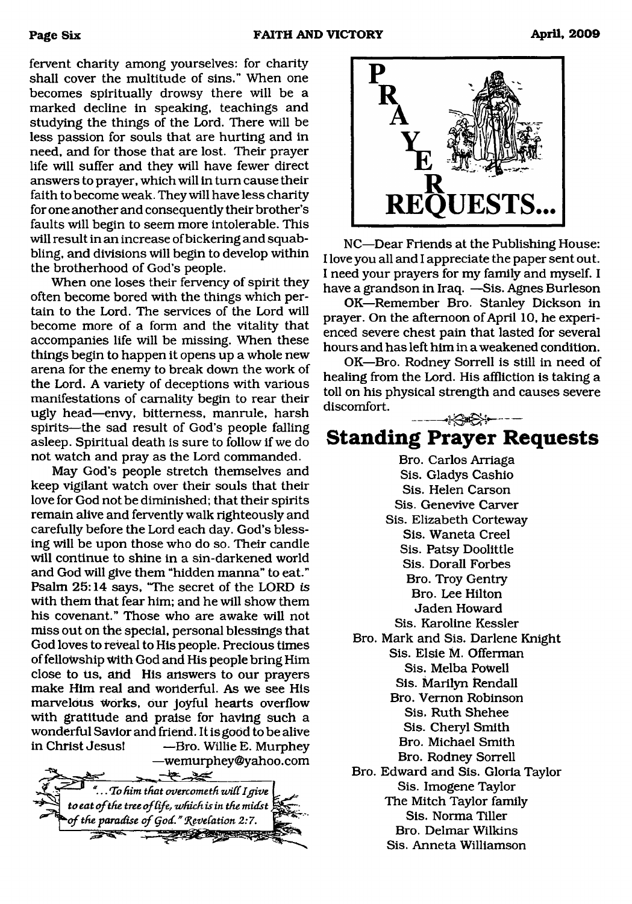fervent charity among yourselves: for charity shall cover the multitude of sins." When one becomes spiritually drowsy there will be a marked decline in speaking, teachings and studying the things of the Lord. There will be less passion for souls that are hurting and in need, and for those that are lost. Their prayer life will suffer and they will have fewer direct answers to prayer, which will in turn cause their faith to become weak. They will have less charity for one another and consequently their brother's faults will begin to seem more intolerable. This will result in an increase of bickering and squabbling, and divisions will begin to develop within the brotherhood of God's people.

When one loses their fervency of spirit they often become bored with the things which pertain to the Lord. The services of the Lord will become more of a form and the vitality that accompanies life will be missing. When these things begin to happen it opens up a whole new arena for the enemy to break down the work of the Lord. A variety of deceptions with various manifestations of carnality begin to rear their ugly head—envy, bitterness, manrule, harsh spirits—the sad result of God's people falling asleep. Spiritual death is sure to follow if we do not watch and pray as the Lord commanded.

May God's people stretch themselves and keep vigilant watch over their souls that their love for God not be diminished; that their spirits remain alive and fervently walk righteously and carefully before the Lord each day. God's blessing will be upon those who do so. Their candle will continue to shine in a sin-darkened world and God will give them "hidden manna" to eat." Psalm 25:14 says, "The secret of the LORD *is* with them that fear him; and he will show them his covenant." Those who are awake will not miss out on the special, personal blessings that God loves to reveal to His people. Precious times of fellowship With God and His people bring Him close to us, and His answers to our prayers make Him real and wonderful. As we see His marvelous Works, our joyful hearts overflow with gratitude and praise for having such a wonderful Savior and friend. It is good to be alive in Christ Jesus! —Bro. Willie E. Murphey

—wemurphey@yahoo. com  $-22$ *^* B *To him that overcometh zi/iCC I give* to eat of the tree of life, which is in the midst, *of the paradise of God." Revelation 2:7.*  $\mathbb{Z}$ 



NC—Dear Friends at the Publishing House: I love you all and I appreciate the paper sent out. I need your prayers for my family and myself. I have a grandson in Iraq. —Sis. Agnes Burleson

OK—Remember Bro. Stanley Dickson in prayer. On the afternoon of April 10, he experienced severe chest pain that lasted for severed hours and has left him in a weakened condition.

OK—Bro. Rodney Sorrell is still in need of healing from the Lord. His affliction is taking a toll on his physical strength and causes severe discomfort.

# ------ **Standing Prayer Requests**

Bro. Carlos Arriaga Sis. Gladys Cashio Sis. Helen Carson Sis. Genevive Carver Sis. Elizabeth Corteway Sis. Waneta Creel Sis. Patsy Doolittle Sis. Dorall Forbes Bro. Troy Gentry Bro. Lee Hilton Jaden Howard Sis. Karoline Kessler Bro. Mark and Sis. Darlene Knight Sis. Elsie M. Offerman Sis. Melba PoWell Sis. Marilyn Rendall Bro. Vernon Robinson Sis. Ruth Shehee Sis. Cheryl Smith Bro. Michael Smith Bro. Rodney Sorrell Bro. Edward and Sis. Gloria Taylor Sis. Imogene Taylor The Mitch Taylor family Sis. Norma Tiller Bro. Delmar Wilkins Sis. Anneta Williamson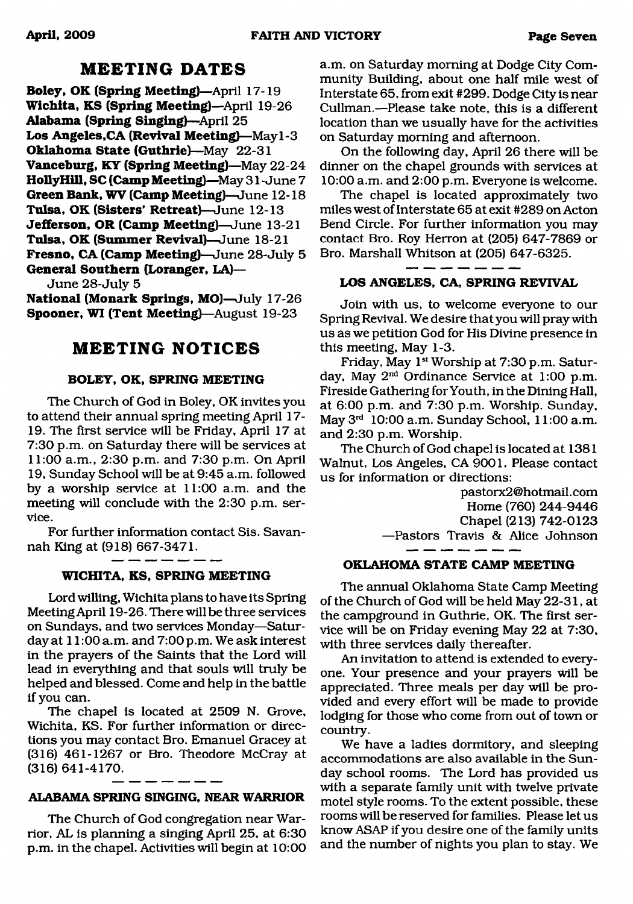# **MEETING DATES**

**Boley, OK (Spring Meeting)—**April 17-19 Wichita, KS (Spring Meeting)—April 19-26 **Alabama (Spring Singing)**—April 25 **Los Angeles,CA (Revival Meeting)**—May 1-3 **Oklahoma State (Guthrie)**—May 22-31 **Vanceburg, KY (Spring Meeting)**—May 22-24 **HollyHill, SC (Camp Meeting)**—May 31 - June 7 **Green Bank, WV (Camp Meeting)—**June 12-18 **Tulsa, OK (Sisters' Retreat)**—June 12-13 **Jefferson, OR (Camp Meeting)**—June 13-21 **Tulsa, OK (Summer Revival)**—June 18-21 **Fresno, CA (Camp Meeting)—**June 28-July 5 **General Southern (Loranger, LA)—**

June 28-July 5

**National (Monark Springs, MO)**—July 17-26 **Spooner, WI (Tent Meeting)**—August 19-23

# **MEETING NOTICES**

### **BOLEY, OK, SPRING MEETING**

The Church of God in Boley, OK invites you to attend their annual spring meeting April 17- 19. The first service will be Friday, April 17 at 7:30 p.m. on Saturday there will be services at 11:00 a.m., 2:30 p.m. and 7:30 p.m. On April 19, Sunday School will be at 9:45 a.m. followed by a worship service at 11:00 a.m. and the meeting will conclude with the 2:30 p.m. service.

For further information contact Sis. Savannah King at (918) 667-3471.

#### **WICHITA, KS, SPRING MEETING**

Lord willing, Wichita plans to have its Spring Meeting April 19-26. There will be three services on Sundays, and two services Monday—Saturday at 11:00 a.m. and 7:00 p.m. We ask interest in the prayers of the Saints that the Lord will lead in everything and that souls Will truly be helped and blessed. Come and help in the battle if you can.

The chapel is located at 2509 N. Grove, Wichita, KS. For further information or directions you may contact Bro. Emanuel Gracey at (316) 461-1267 or Bro. Theodore McCray at (316) 641-4170.

# **ALABAMA SPRING SINGING, NEAR WARRIOR**

The Church of God congregation near Warrior, AL is planning a singing April 25, at 6:30 p.m. in the chapel. Activities will begin at 10:00

a.m. on Saturday morning at Dodge City Community Building, about one half mile west of Interstate 65, from exit #299. Dodge City is near Cullman.—Please take note, this is a different location than we usually have for the activities on Saturday morning and afternoon.

On the following day, April 26 there will be dinner on the chapel grounds with services at 10:00 a.m. and 2:00 p.m. Everyone is welcome.

The chapel is located approximately two miles west of Interstate 65 at exit #289 on Acton Bend Circle. For further information you may contact Bro. Roy Herron at (205) 647-7869 or Bro. Marshall Whitson at (205) 647-6325.

# **LOS ANGELES, CA, SPRING REVIVAL**

Join with us, to welcome everyone to our Spring Revival. We desire that you will pray with us as we petition God for His Divine presence in this meeting, May 1-3.

Friday, May 1st Worship at 7:30 p.m. Saturday, May 2nd Ordinance Service at 1:00 p.m. Fireside Gathering for Youth, in the Dining Hall, at 6:00 p.m. and 7:30 p.m. Worship. Sunday, May 3rd 10:00 a.m. Sunday School, 11:00 a.m. and 2:30 p.m. Worship.

The Church of God chapel is located at 1381 Walnut, Los Angeles, CA 9001. Please contact us for information or directions:

> [pastorx2@hotmail.com](mailto:pastorx2@hotmail.com) Home (760) 244-9446 Chapel (213) 742-0123 —Pastors Travis & Alice Johnson  $\cdot$

# **OKLAHOMA STATE CAMP MEETING**

The annual Oklahoma State Camp Meeting of the Church of God will be held May 22-31, at the campground in Guthrie, OK. The first service will be on Friday evening May 22 at 7:30, with three services daily thereafter.

An invitation to attend is extended to everyone. Your presence and your prayers Will be appreciated. Three meals per day will be provided and every effort will be made to provide lodging for those who come from out of town or country.

We have a ladies dormitory, and sleeping accommodations are also available in the Sunday school rooms. The Lord has provided us with a separate family unit with twelve private motel style rooms. To the extent possible, these rooms will be reserved for families. Please let us know ASAP if you desire one of the family units and the number of nights you plan to stay. We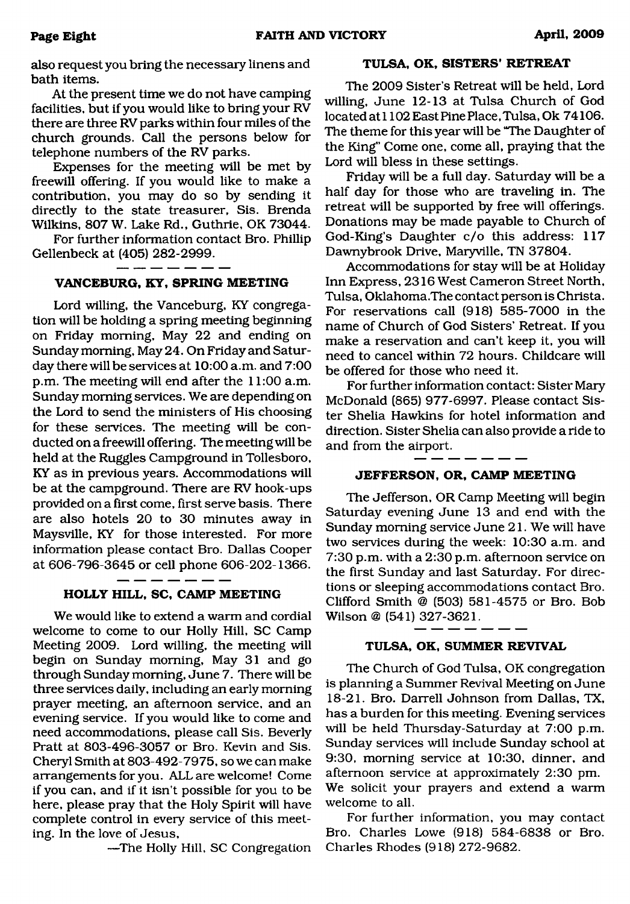also request you bring the necessary linens and bath items.

At the present time we do not have camping facilities, but if you would like to bring your RV there are three RV parks within four miles of the church grounds. Call the persons below for telephone numbers of the RV parks.

Expenses for the meeting will be met by freewill offering. If you would like to make a contribution, you may do so by sending it directly to the state treasurer, Sis. Brenda Wilkins, 807 W. Lake Rd., Guthrie, OK 73044.

For further information contact Bro. Phillip Gellenbeck at (405) 282-2999.

# **VANCEBURG, KY, SPRING MEETING**

Lord willing, the Vanceburg, KY congregation will be holding a spring meeting beginning on Friday morning, May 22 and ending on Sunday morning, May 24. On Friday and Saturday there will be services at 10:00 a.m. and 7:00 p.m. The meeting will end after the 11:00 a.m. Sunday morning services. We are depending on the Lord to send the ministers of His choosing for these services. The meeting will be conducted on a freewill offering. The meeting will be held at the Ruggles Campground in Tollesboro, KY as in previous years. Accommodations will be at the campground. There are RV hook-ups provided on a first come, first serve basis. There are also hotels 20 to 30 minutes away in Maysville, KY for those interested. For more information please contact Bro. Dallas Cooper at 606-796-3645 or cell phone 606-202-1366.

#### ------**HOLLY HILL, SC, CAMP MEETING**

We would like to extend a warm and cordial welcome to come to our Holly Hill, SC Camp Meeting 2009. Lord willing, the meeting will begin on Sunday morning, May 31 and go through Sunday morning, June 7. There will be three services daily, including an early morning prayer meeting, an afternoon service, and an evening service. If you would like to come and need accommodations, please call Sis. Beverly Pratt at 803-496-3057 or Bro. Kevin and Sis. Cheryl Smith at 803-492-7975, so we can make arrangements for you. ALL are welcome! Come if you can, and if it isn't possible for you to be here, please pray that the Holy Spirit will have complete control in every service of this meeting. In the love of Jesus,

—The Holly Hill, SC Congregation

#### **TULSA, OK, SISTERS' RETREAT**

The 2009 Sister's Retreat will be held, Lord willing, June 12-13 at Tulsa Church of God located at 1102 East Pine Place, Tulsa, Ok 74106. The theme for this year will be "The Daughter of the King" Come one, come all, praying that the Lord will bless in these settings.

Friday will be a full day. Saturday will be a half day for those who are traveling in. The retreat will be supported by free will offerings. Donations may be made payable to Church of God-King's Daughter c/o this address: 117 Dawnybrook Drive, Maryville, TN 37804.

Accommodations for stay will be at Holiday Inn Express, 2316 West Cameron Street North, Tulsa, Oklahoma.The contact person is Christa. For reservations call (918) 585-7000 in the name of Church of God Sisters' Retreat. If you make a reservation and can't keep it, you will need to cancel within 72 hours. Childcare will be offered for those who need it.

For further information contact: Sister Mary McDonald (865) 977-6997. Please contact Sister Shelia Hawkins for hotel information and direction. Sister Shelia can also provide a ride to and from the airport.

#### **JEFFERSON, OR, CAMP MEETING**

The Jefferson, OR Camp Meeting will begin Saturday evening June 13 and end with the Sunday morning service June 21. We will have two services during the week: 10:30 a.m. and 7:30 p.m. with a 2:30 p.m. afternoon service on the first Sunday and last Saturday. For directions or sleeping accommodations contact Bro. Clifford Smith @ (503) 581-4575 or Bro. Bob Wilson @ (541) 327-3621.

#### **TULSA, OK, SUMMER REVIVAL**

The Church of God Tulsa, OK congregation is planning a Summer Revival Meeting on June 18-21. Bro. Darrell Johnson from Dallas, TX, has a burden for this meeting. Evening services will be held Thursday-Saturday at 7:00 p.m. Sunday services will include Sunday school at 9:30, morning service at 10:30, dinner, and afternoon service at approximately 2:30 pm. We solicit your prayers and extend a warm welcome to all.

For further information, you may contact Bro. Charles Lowe (918) 584-6838 or Bro. Charles Rhodes (918) 272-9682.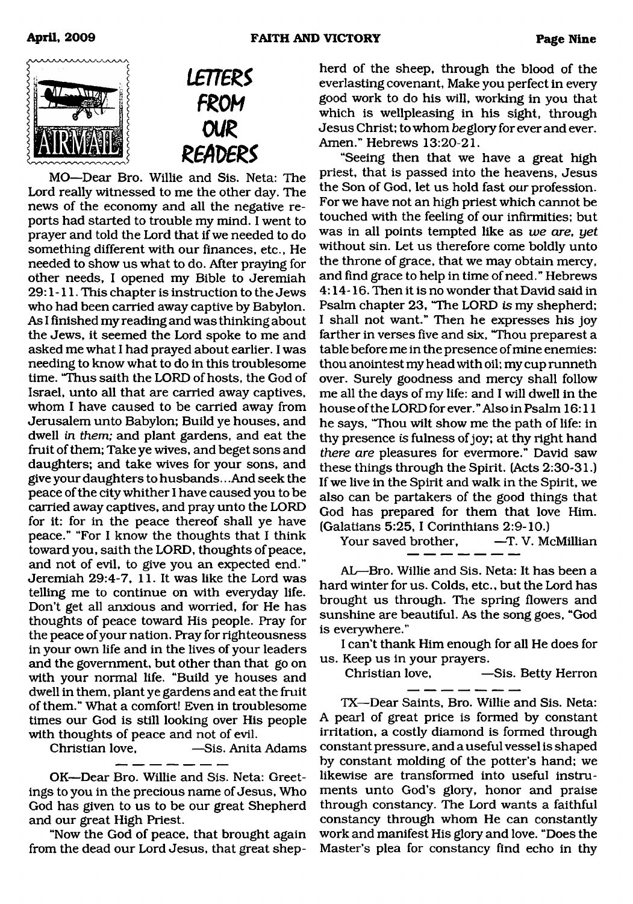



MO—Dear Bro. Willie and Sis. Neta: The Lord really witnessed to me the other day. The news of the economy and all the negative reports had started to trouble my mind. I went to prayer and told the Lord that if we needed to do something different with our finances, etc., He needed to show us what to do. After praying for other needs, I opened my Bible to Jeremiah 29:1-11. This chapter is instruction to the Jews who had been carried away captive by Babylon. As I finished my reading and was thinking about the Jews, it seemed the Lord spoke to me and asked me what I had prayed about earlier. I was needing to know what to do in this troublesome time. "Thus saith the LORD of hosts, the God of Israel, unto all that are carried away captives, whom I have caused to be carried away from Jerusalem unto Babylon; Build ye houses, and dwell in *them;* and plant gardens, and eat the fruit of them; Take ye wives, and beget sons and daughters; and take wives for your sons, and give your daughters to husbands.. .And seek the peace of the city whither I have caused you to be carried away captives, and pray unto the LORD for it: for in the peace thereof shall ye have peace." "For I know the thoughts that I think toward you, saith the LORD, thoughts of peace, and not of evil, to give you an expected end." Jeremiah 29:4-7, 11. It was like the Lord was telling me to continue on with everyday life. Don't get all anxious and worried, for He has thoughts of peace toward His people. Pray for the peace of your nation. Pray for righteousness in your own life and in the lives of your leaders and the government, but other than that go on with your normal life. "Build ye houses and dwell in them, plant ye gardens and eat the fruit of them." What a comfort! Even in troublesome times our God is still looking over His people with thoughts of peace and not of evil.

Christian love, —Sis. Anita Adams

OK—Dear Bro. Willie and Sis. Neta: Greetings to you in the precious name of Jesus, Who God has given to us to be our great Shepherd and our great High Priest.

"Now the God of peace, that brought again from the dead our Lord Jesus, that great shepherd of the sheep, through the blood of the everlasting covenant, Make you perfect in every good work to do his will, working in you that which is wellpleasing in his sight, through Jesus Christ; to whom be glory for ever and ever. Amen." Hebrews 13:20-21.

"Seeing then that we have a great high priest, that is passed into the heavens, Jesus the Son of God, let us hold fast our profession. For we have not an high priest which cannot be touched with the feeling of our infirmities; but was in all points tempted like as *we are, yet* without sin. Let us therefore come boldly unto the throne of grace, that we may obtain mercy, and find grace to help in time of need." Hebrews 4:14-16. Then it is no wonder that David said in Psalm chapter 23, "The LORD is my shepherd; I shall not want." Then he expresses his joy farther in verses five and six, "Thou preparest a table before me in the presence of mine enemies: thou anointest my head with oil; my cup runneth over. Surely goodness and mercy shall follow me all the days of my life: and I will dwell in the house of the LORD for ever." Also in Psalm 16:11 he says, "Thou wilt show me the path of life: in thy presence is fulness of joy; at thy right hand *there are* pleasures for evermore." David saw these things through the Spirit. (Acts 2:30-31.) If we live in the Spirit and walk in the Spirit, we also can be partakers of the good things that God has prepared for them that love Him. (Galatians 5:25, I Corinthians 2:9-10.)

Your saved brother,

AL—Bro. Willie and Sis. Neta: It has been a hard winter for us. Colds, etc., but the Lord has brought us through. The spring flowers and sunshine are beautiful. As the song goes, "God is everywhere."

I can't thank Him enough for all He does for us. Keep us in your prayers.

Christian love, —Sis. Betty Herron

TX—Dear Saints, Bro. Willie and Sis. Neta: A pearl of great price is formed by constant irritation, a costly diamond is formed through constant pressure, and a useful vessel is shaped by constant molding of the potter's hand; we likewise are transformed into useful instruments unto God's glory, honor and praise through constancy. The Lord wants a faithful constancy through whom He can constantly work and manifest His glory and love. "Does the Master's plea for constancy find echo in thy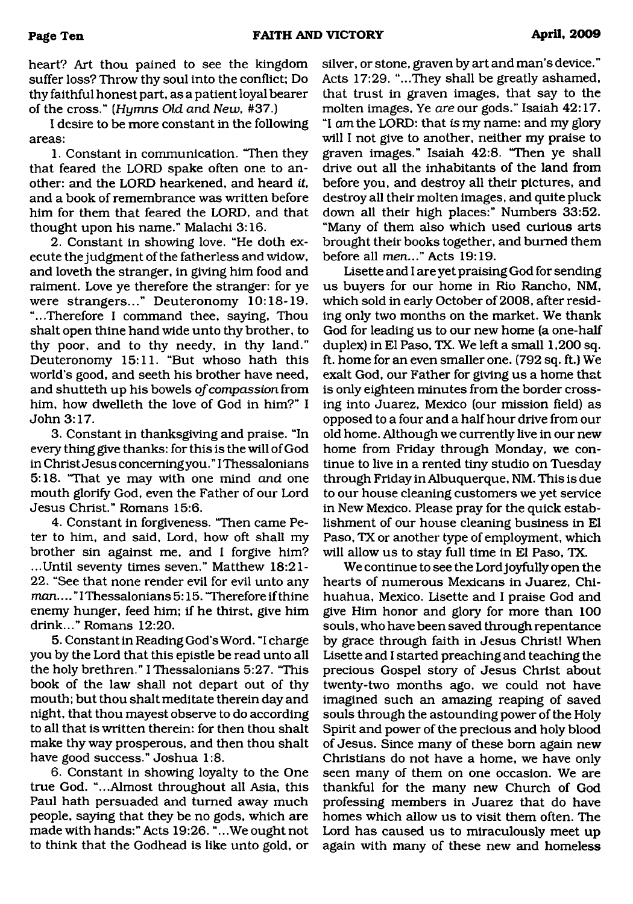heart? Art thou pained to see the kingdom suffer loss? Throw thy soul into the conflict; Do thy faithful honest part, as a patient loyal bearer of the cross." *(Hymns Old and New*, #37.)

I desire to be more constant in the following areas:

1. Constant in communication. "Then they that feared the LORD spake often one to another: and the LORD hearkened, and heard *it,* and a book of remembrance was written before him for them that feared the LORD, and that thought upon his name." Malachi 3:16.

2. Constant in showing love. "He doth execute the judgment of the fatherless and widow, and loveth the stranger, in giving him food and raiment. Love ye therefore the stranger: for ye were strangers..." Deuteronomy 10:18-19. "...Therefore I command thee, saying, Thou shalt open thine hand wide unto thy brother, to thy poor, and to thy needy, in thy land." Deuteronomy 15:11. "But whoso hath this world's good, and seeth his brother have need, and shutteth up his bowels *of compassion* from him, how dwelleth the love of God in him?" I John 3:17.

3. Constant in thanksgiving and praise. "In every thing give thanks: for this is the will of God in Christ Jesus concerning you." IThessalonians 5:18. "That ye may with one mind *and* one mouth glorify God, even the Father of our Lord Jesus Christ." Romans 15:6.

4. Constant in forgiveness. "Then came Peter to him, and said, Lord, how oft shall my brother sin against me, and I forgive him? ...Until seventy times seven." Matthew 18:21- 22. "See that none render evil for evil unto any *man*.... "IThessalonians 5:15. "Therefore if thine enemy hunger, feed him; if he thirst, give him drink..." Romans 12:20.

5. Constant in Reading God's Word. "I charge you by the Lord that this epistle be read unto all the holy brethren." I Thessalonians 5:27. "This book of the law shall not depart out of thy mouth; but thou shalt meditate therein day and night, that thou mayest observe to do according to all that is written therein: for then thou shalt make thy way prosperous, and then thou shalt have good success." Joshua 1:8.

6. Constant in showing loyalty to the One true God. "...Almost throughout all Asia, this Paul hath persuaded and turned away much people, saying that they be no gods, which are made with hands:" Acts 19:26. ".. .We ought not to think that the Godhead is like unto gold, or silver, or stone, graven by art and man's device." Acts 17:29. "...They shall be greatly ashamed, that trust in graven images, that say to the molten images, Ye *are* our gods." Isaiah 42:17. "I am the LORD: that *is* my name: and my glory will I not give to another, neither my praise to graven images." Isaiah 42:8. "Then ye shall drive out all the inhabitants of the land from before you, and destroy all their pictures, and destroy all their molten images, and quite pluck down all their high places:" Numbers 33:52. "Many of them also which used curious arts brought their books together, and burned them before all men..." Acts 19:19.

Lisette and I are yet praising God for sending us buyers for our home in Rio Rancho, NM, which sold in early October of 2008, after residing only two months on the market. We thank God for leading us to our new home (a one-half duplex) in El Paso, TX. We left a small 1,200 sq. ft. home for an even smaller one. (792 sq. ft.) We exalt God, our Father for giving us a home that is only eighteen minutes from the border crossing into Juarez, Mexico (our mission field) as opposed to a four and a half hour drive from our old home. Although we currently live in our new home from Friday through Monday, we continue to live in a rented tiny studio on Tuesday through Friday in Albuquerque, NM. This is due to our house cleaning customers we yet service in New Mexico. Please pray for the quick establishment of our house cleaning business in El Paso, TX or another type of employment, which will allow us to stay full time in El Paso, TX.

We continue to see the Lord joyfully open the hearts of numerous Mexicans in Juarez, Chihuahua, Mexico. Lisette and I praise God and give Him honor and glory for more than 100 souls, who have been saved through repentance by grace through faith in Jesus Christ! When Lisette and I started preaching and teaching the precious Gospel story of Jesus Christ about twenty-two months ago, we could not have imagined such an amazing reaping of saved souls through the astounding power of the Holy Spirit and power of the precious and holy blood of Jesus. Since many of these bom again new Christians do not have a home, we have only seen many of them on one occasion. We are thankful for the many new Church of God professing members in Juarez that do have homes which allow us to visit them often. The Lord has caused us to miraculously meet up again with many of these new and homeless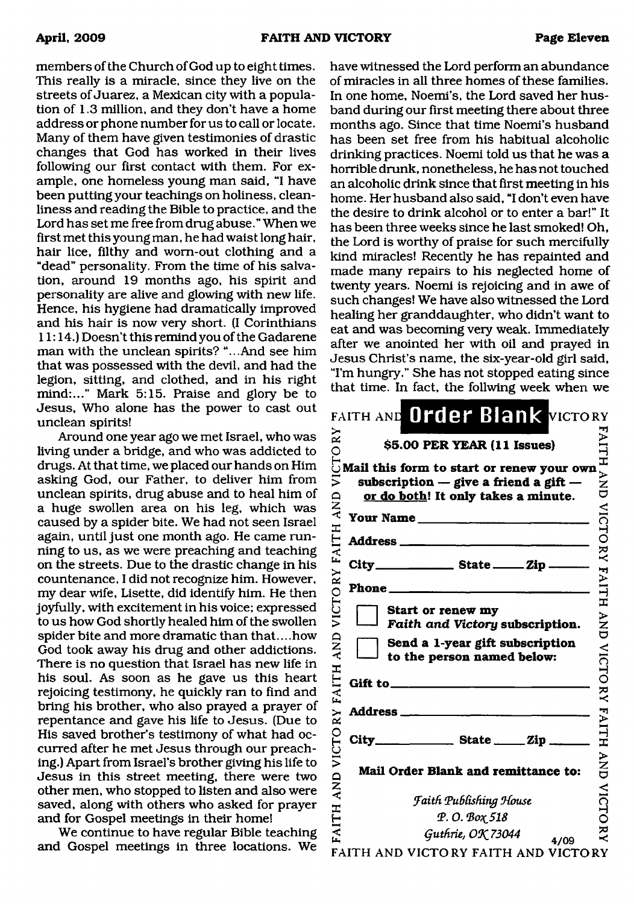members of the Church of God up to eight times. This really is a miracle, since they live on the streets of Juarez, a Mexican city with a population of 1.3 million, and they don't have a home address or phone number for us to call or locate. Many of them have given testimonies of drastic changes that God has worked in their lives following our first contact with them. For example, one homeless young man said, "I have been putting your teachings on holiness, cleanliness and reading the Bible to practice, and the Lord has set me free from drug abuse. " When we first met this young man, he had waist long hair, hair lice, filthy and worn-out clothing and a "dead" personality. From the time of his salvation, around 19 months ago, his spirit and personality are alive and glowing with new life. Hence, his hygiene had dramatically improved and his hair is now very short. (I Corinthians 11:14.) Doesn't this remind you of the Gadarene man with the unclean spirits? "...And see him that was possessed with the devil, and had the legion, sitting, and clothed, and in his right mind:..." Mark 5:15. Praise and glory be to Jesus, Who alone has the power to cast out unclean spirits!

Around one year ago we met Israel, who was living under a bridge, and who was addicted to drugs. At that time, we placed our hands on Him asking God, our Father, to deliver him from unclean spirits, drug abuse and to heal him of a huge swollen area on his leg, which was caused by a spider bite. We had not seen Israel again, until just one month ago. He came running to us, as we were preaching and teaching on the streets. Due to the drastic change in his countenance, I did not recognize him. However, my dear wife, Lisette, did identify him. He then joyfully, with excitement in his voice; expressed to us how God shortly healed him of the swollen spider bite and more dramatic than that... .how God took away his drug and other addictions. There is no question that Israel has new life in his soul. As soon as he gave us this heart rejoicing testimony, he quickly ran to find and bring his brother, who also prayed a prayer of repentance and gave his life to Jesus. (Due to His saved brother's testimony of what had occurred after he met Jesus through our preaching.) Apart from Israel's brother giving his life to Jesus in this street meeting, there were two other men, who stopped to listen and also were saved, along with others who asked for prayer and for Gospel meetings in their home!

We continue to have regular Bible teaching and Gospel meetings in three locations. We have witnessed the Lord perform an abundance of miracles in all three homes of these families. In one home, Noemi's, the Lord saved her husband during our first meeting there about three months ago. Since that time Noemi's husband has been set free from his habitual alcoholic drinking practices. Noemi told us that he was a horrible drunk, nonetheless, he has not touched an alcoholic drink since that first meeting in his home. Her husband also said, "I don't even have the desire to drink alcohol or to enter a bar!" It has been three weeks since he last smoked! Oh, the Lord is worthy of praise for such mercifully kind miracles! Recently he has repainted and made many repairs to his neglected home of twenty years. Noemi is rejoicing and in awe of such changes! We have also witnessed the Lord healing her granddaughter, who didn't want to eat and was becoming very weak. Immediately after we anointed her with oil and prayed in Jesus Christ's name, the six-year-old girl said, "I'm hungry." She has not stopped eating since that time. In fact, the foilwing week when we

|                          | FAITH AND Order Blank VICTORY                                                                                                              |                                |
|--------------------------|--------------------------------------------------------------------------------------------------------------------------------------------|--------------------------------|
| $\stackrel{\sim}{\rm N}$ | \$5.00 PER YEAR (11 Issues)                                                                                                                |                                |
| VICTO<br>AND             | Mail this form to start or renew your own<br>subscription $-$ give a friend a gift $-$<br>or do both! It only takes a minute.<br>Your Name | Į<br>$\sum_{i=1}^{N}$<br>NICTO |
| <b>FAITH</b>             |                                                                                                                                            |                                |
|                          | City<br>$\frac{1}{2}$ State $\frac{1}{2}$ $\frac{1}{2}$ $\frac{1}{2}$                                                                      | RY FAITH                       |
|                          |                                                                                                                                            |                                |
| VICTORY                  | Start or renew my<br>Faith and Victory subscription.                                                                                       | ¥N<br>U                        |
| FAITH AND                | Send a 1-year gift subscription<br>to the person named below:                                                                              |                                |
|                          | Gift to _____________                                                                                                                      |                                |
|                          | Address_                                                                                                                                   | VICTORY FAITH                  |
| VICTORY                  | City_<br>$\frac{1}{\sqrt{2}}$ State $\frac{1}{\sqrt{2}}$ Zip.                                                                              |                                |
| AND                      | Mail Order Blank and remittance to:                                                                                                        | $\sum_{i=1}^{n}$               |
|                          | <b>Faith Publishing House</b>                                                                                                              | VICTO                          |
| FAITH                    | Р. О. Вох 518                                                                                                                              |                                |
|                          | Guthrie, OK 73044<br>4/09                                                                                                                  | ž<br>K                         |
|                          | FAITH AND VICTORY FAITH AND VICTORY                                                                                                        |                                |